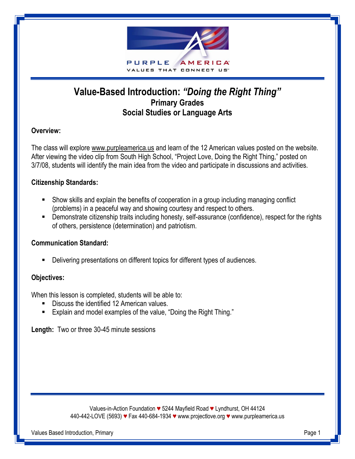

# **Value-Based Introduction:** *"Doing the Right Thing"* **Primary Grades Social Studies or Language Arts**

## **Overview:**

The class will explore www.purpleamerica.us and learn of the 12 American values posted on the website. After viewing the video clip from South High School, "Project Love, Doing the Right Thing," posted on 3/7/08, students will identify the main idea from the video and participate in discussions and activities.

#### **Citizenship Standards:**

- Show skills and explain the benefits of cooperation in a group including managing conflict (problems) in a peaceful way and showing courtesy and respect to others.
- **•** Demonstrate citizenship traits including honesty, self-assurance (confidence), respect for the rights of others, persistence (determination) and patriotism.

#### **Communication Standard:**

Delivering presentations on different topics for different types of audiences.

#### **Objectives:**

When this lesson is completed, students will be able to:

- Discuss the identified 12 American values.
- Explain and model examples of the value, "Doing the Right Thing."

**Length:** Two or three 30-45 minute sessions

Values-in-Action Foundation *♥* 5244 Mayfield Road *♥* Lyndhurst, OH 44124 440-442-LOVE (5693) *♥* Fax 440-684-1934 *♥* www.projectlove.org *♥* www.purpleamerica.us

Values Based Introduction, Primary Page 1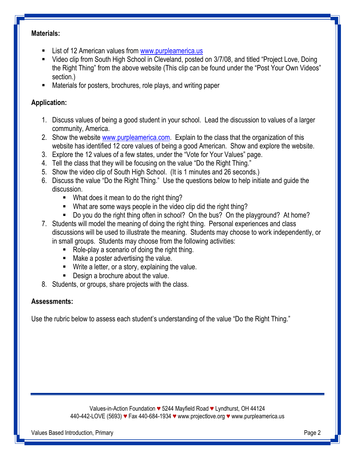#### **Materials:**

- **EXECT** List of 12 American values from [www.purpleamerica.us](http://www.purpleamerica.us/)
- Video clip from South High School in Cleveland, posted on 3/7/08, and titled "Project Love, Doing the Right Thing" from the above website (This clip can be found under the "Post Your Own Videos" section.)
- Materials for posters, brochures, role plays, and writing paper

### **Application:**

- 1. Discuss values of being a good student in your school. Lead the discussion to values of a larger community, America.
- 2. Show the website [www.purpleamerica.com.](http://www.purpleamerica.com/) Explain to the class that the organization of this website has identified 12 core values of being a good American. Show and explore the website.
- 3. Explore the 12 values of a few states, under the "Vote for Your Values" page.
- 4. Tell the class that they will be focusing on the value "Do the Right Thing."
- 5. Show the video clip of South High School. (It is 1 minutes and 26 seconds.)
- 6. Discuss the value "Do the Right Thing." Use the questions below to help initiate and guide the discussion.
	- What does it mean to do the right thing?
	- What are some ways people in the video clip did the right thing?
	- Do you do the right thing often in school? On the bus? On the playground? At home?
- 7. Students will model the meaning of doing the right thing. Personal experiences and class discussions will be used to illustrate the meaning. Students may choose to work independently, or in small groups. Students may choose from the following activities:
	- Role-play a scenario of doing the right thing.
	- **Make a poster advertising the value.**
	- **Write a letter, or a story, explaining the value.**
	- **Design a brochure about the value.**
- 8. Students, or groups, share projects with the class.

#### **Assessments:**

Use the rubric below to assess each student's understanding of the value "Do the Right Thing."